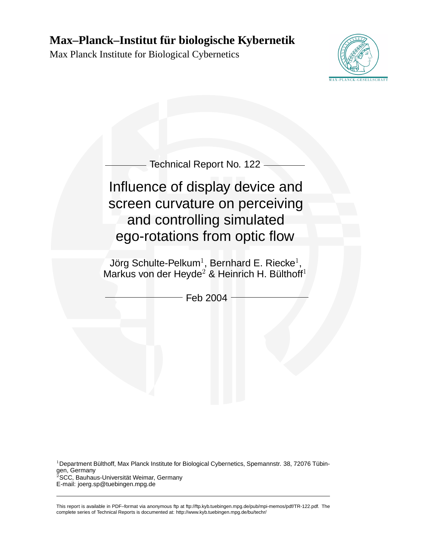# **Max–Planck–Institut für biologische Kybernetik**

Max Planck Institute for Biological Cybernetics





<sup>1</sup>Department Bülthoff, Max Planck Institute for Biological Cybernetics, Spemannstr. 38, 72076 Tübingen, Germany  $2$ SCC, Bauhaus-Universität Weimar, Germany E-mail: joerg.sp@tuebingen.mpg.de

This report is available in PDF–format via anonymous ftp at ftp://ftp.kyb.tuebingen.mpg.de/pub/mpi-memos/pdf/TR-122.pdf. The complete series of Technical Reports is documented at: http://www.kyb.tuebingen.mpg.de/bu/techr/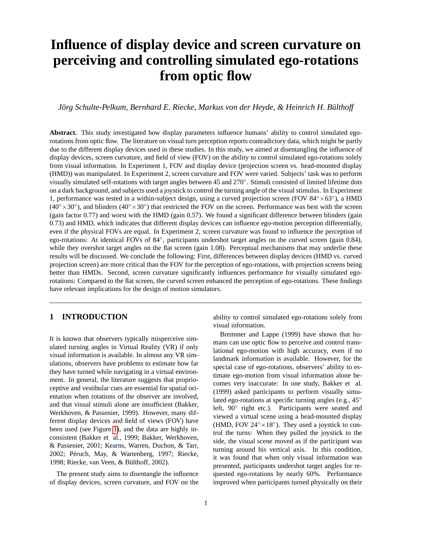# **Influence of display device and screen curvature on perceiving and controlling simulated ego-rotations from optic flow**

*Jörg Schulte-Pelkum, Bernhard E. Riecke, Markus von der Heyde, & Heinrich H. Bülthoff*

**Abstract.** This study investigated how display parameters influence humans' ability to control simulated egorotations from optic flow. The literature on visual turn perception reports contradictory data, which might be partly due to the different display devices used in these studies. In this study, we aimed at disentangling the influence of display devices, screen curvature, and field of view (FOV) on the ability to control simulated ego-rotations solely from visual information. In Experiment 1, FOV and display device (projection screen vs. head-mounted display (HMD)) was manipulated. In Experiment 2, screen curvature and FOV were varied. Subjects' task was to perform visually simulated self-rotations with target angles between 45 and 270°. Stimuli consisted of limited lifetime dots on a dark background, and subjects used a joystick to control the turning angle of the visual stimulus. In Experiment 1, performance was tested in a within-subject design, using a curved projection screen (FOV 84° × 63°), a HMD  $(40° \times 30°)$ , and blinders  $(40° \times 30°)$  that restricted the FOV on the screen. Performance was best with the screen (gain factor 0.77) and worst with the HMD (gain 0.57). We found a significant difference between blinders (gain 0.73) and HMD, which indicates that different display devices can influence ego-motion perception differentially, even if the physical FOVs are equal. In Experiment 2, screen curvature was found to influence the perception of ego-rotations: At identical FOVs of 84°, participants undershot target angles on the curved screen (gain 0.84), while they overshot target angles on the flat screen (gain 1.08). Perceptual mechanisms that may underlie these results will be discussed. We conclude the following: First, differences between display devices (HMD vs. curved projection screen) are more critical than the FOV for the perception of ego-rotations, with projection screens being better than HMDs. Second, screen curvature significantly influences performance for visually simulated egorotations: Compared to the flat screen, the curved screen enhanced the perception of ego-rotations. These findings have relevant implications for the design of motion simulators.

# **1 INTRODUCTION**

It is known that observers typically misperceive simulated turning angles in Virtual Reality (VR) if only visual information is available. In almost any VR simulations, observers have problems to estimate how far they have turned while navigating in a virtual environment. In general, the literature suggests that proprioceptive and vestibular cues are essential for spatial orientation when rotations of the observer are involved, and that visual stimuli alone are insufficient (Bakker, Werkhoven, & Passenier, 1999). However, many different display devices and field of views (FOV) have been used (see Figure [1\)](#page-2-0), and the data are highly inconsistent (Bakker et al., 1999; Bakker, Werkhoven, & Passenier, 2001; Kearns, Warren, Duchon, & Tarr, 2002; Péruch, May, & Wartenberg, 1997; Riecke, 1998; Riecke, van Veen, & Bülthoff, 2002).

The present study aims to disentangle the influence of display devices, screen curvature, and FOV on the

ability to control simulated ego-rotations solely from visual information.

Bremmer and Lappe (1999) have shown that humans can use optic flow to perceive and control translational ego-motion with high accuracy, even if no landmark information is available. However, for the special case of ego-rotations, observers' ability to estimate ego-motion from visual information alone becomes very inaccurate: In one study, Bakker et al. (1999) asked participants to perform visually simulated ego-rotations at specific turning angles (e.g., 45◦ left, 90° right etc.). Participants were seated and viewed a virtual scene using a head-mounted display (HMD, FOV  $24^\circ \times 18^\circ$ ). They used a joystick to control the turns: When they pulled the joystick to the side, the visual scene moved as if the participant was turning around his vertical axis. In this condition, it was found that when only visual information was presented, participants undershot target angles for requested ego-rotations by nearly 60%. Performance improved when participants turned physically on their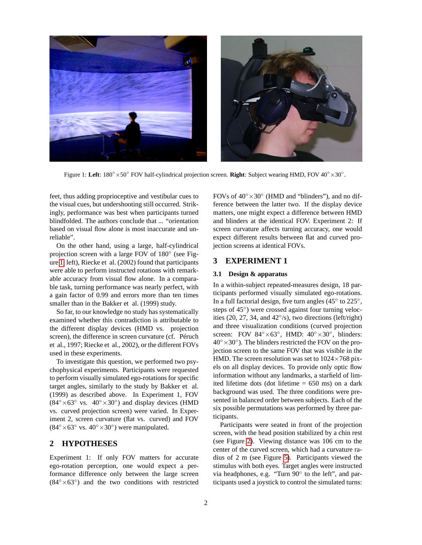

Figure 1: Left: 180° × 50° FOV half-cylindrical projection screen. Right: Subject wearing HMD, FOV 40° × 30°.

<span id="page-2-0"></span>feet, thus adding proprioceptive and vestibular cues to the visual cues, but undershooting still occurred. Strikingly, performance was best when participants turned blindfolded. The authors conclude that ... "orientation based on visual flow alone is most inaccurate and unreliable".

On the other hand, using a large, half-cylindrical projection screen with a large FOV of 180° (see Figure [1,](#page-2-0) left), Riecke et al. (2002) found that participants were able to perform instructed rotations with remarkable accuracy from visual flow alone. In a comparable task, turning performance was nearly perfect, with a gain factor of 0.99 and errors more than ten times smaller than in the Bakker et al. (1999) study.

So far, to our knowledge no study has systematically examined whether this contradiction is attributable to the different display devices (HMD vs. projection screen), the difference in screen curvature (cf. Péruch et al., 1997; Riecke et al., 2002), or the different FOVs used in these experiments.

To investigate this question, we performed two psychophysical experiments. Participants were requested to perform visually simulated ego-rotations for specific target angles, similarly to the study by Bakker et al. (1999) as described above. In Experiment 1, FOV  $(84° \times 63° \text{ vs. } 40° \times 30°)$  and display devices (HMD vs. curved projection screen) were varied. In Experiment 2, screen curvature (flat vs. curved) and FOV  $(84° \times 63° \text{ vs. } 40° \times 30°)$  were manipulated.

## **2 HYPOTHESES**

Experiment 1: If only FOV matters for accurate ego-rotation perception, one would expect a performance difference only between the large screen  $(84° \times 63°)$  and the two conditions with restricted

FOVs of  $40^{\circ} \times 30^{\circ}$  (HMD and "blinders"), and no difference between the latter two. If the display device matters, one might expect a difference between HMD and blinders at the identical FOV. Experiment 2: If screen curvature affects turning accuracy, one would expect different results between flat and curved projection screens at identical FOVs.

# **3 EXPERIMENT 1**

#### **3.1 Design & apparatus**

In a within-subject repeated-measures design, 18 participants performed visually simulated ego-rotations. In a full factorial design, five turn angles  $(45° to 225°)$ , steps of 45°) were crossed against four turning velocities  $(20, 27, 34,$  and  $42°/s)$ , two directions (left/right) and three visualization conditions (curved projection screen: FOV  $84^\circ \times 63^\circ$ , HMD:  $40^\circ \times 30^\circ$ , blinders:  $40^\circ \times 30^\circ$ ). The blinders restricted the FOV on the projection screen to the same FOV that was visible in the HMD. The screen resolution was set to  $1024 \times 768$  pixels on all display devices. To provide only optic flow information without any landmarks, a starfield of limited lifetime dots (dot lifetime  $= 650$  ms) on a dark background was used. The three conditions were presented in balanced order between subjects. Each of the six possible permutations was performed by three participants.

Participants were seated in front of the projection screen, with the head position stabilized by a chin rest (see Figure [2\)](#page-3-0). Viewing distance was 106 cm to the center of the curved screen, which had a curvature radius of 2 m (see Figure [5\)](#page-5-0). Participants viewed the stimulus with both eyes. Target angles were instructed via headphones, e.g. "Turn 90° to the left", and participants used a joystick to control the simulated turns: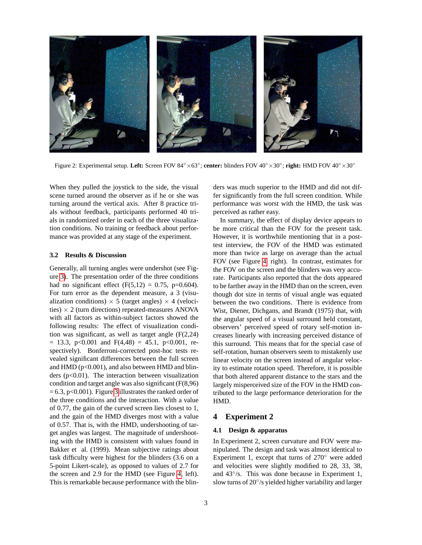

Figure 2: Experimental setup. **Left:** Screen FOV 84◦×63◦ ; **center:** blinders FOV 40◦×30◦ ; **right:** HMD FOV 40◦×30◦

<span id="page-3-0"></span>When they pulled the joystick to the side, the visual scene turned around the observer as if he or she was turning around the vertical axis. After 8 practice trials without feedback, participants performed 40 trials in randomized order in each of the three visualization conditions. No training or feedback about performance was provided at any stage of the experiment.

#### **3.2 Results & Discussion**

Generally, all turning angles were undershot (see Figure [3\)](#page-4-0). The presentation order of the three conditions had no significant effect  $(F(5,12) = 0.75, p=0.604)$ . For turn error as the dependent measure, a 3 (visualization conditions)  $\times$  5 (target angles)  $\times$  4 (velocities)  $\times$  2 (turn directions) repeated-measures ANOVA with all factors as within-subject factors showed the following results: The effect of visualization condition was significant, as well as target angle (F(2,24)  $= 13.3$ , p<0.001 and F(4,48)  $= 45.1$ , p<0.001, respectively). Bonferroni-corrected post-hoc tests revealed significant differences between the full screen and  $HMD$  ( $p<0.001$ ), and also between  $HMD$  and blinders ( $p<0.01$ ). The interaction between visualization condition and target angle was also significant (F(8,96)  $= 6.3$ , p<0.001). Figure [3](#page-4-0) illustrates the ranked order of the three conditions and the interaction. With a value of 0.77, the gain of the curved screen lies closest to 1, and the gain of the HMD diverges most with a value of 0.57. That is, with the HMD, undershooting of target angles was largest. The magnitude of undershooting with the HMD is consistent with values found in Bakker et al. (1999). Mean subjective ratings about task difficulty were highest for the blinders (3.6 on a 5-point Likert-scale), as opposed to values of 2.7 for the screen and 2.9 for the HMD (see Figure [4,](#page-4-1) left). This is remarkable because performance with the blinders was much superior to the HMD and did not differ significantly from the full screen condition. While performance was worst with the HMD, the task was perceived as rather easy.

In summary, the effect of display device appears to be more critical than the FOV for the present task. However, it is worthwhile mentioning that in a posttest interview, the FOV of the HMD was estimated more than twice as large on average than the actual FOV (see Figure [4,](#page-4-1) right). In contrast, estimates for the FOV on the screen and the blinders was very accurate. Participants also reported that the dots appeared to be farther away in the HMD than on the screen, even though dot size in terms of visual angle was equated between the two conditions. There is evidence from Wist, Diener, Dichgans, and Brandt (1975) that, with the angular speed of a visual surround held constant, observers' perceived speed of rotary self-motion increases linearly with increasing perceived distance of this surround. This means that for the special case of self-rotation, human observers seem to mistakenly use linear velocity on the screen instead of angular velocity to estimate rotation speed. Therefore, it is possible that both altered apparent distance to the stars and the largely misperceived size of the FOV in the HMD contributed to the large performance deterioration for the HMD.

#### **4 Experiment 2**

#### **4.1 Design & apparatus**

In Experiment 2, screen curvature and FOV were manipulated. The design and task was almost identical to Experiment 1, except that turns of 270◦ were added and velocities were slightly modified to 28, 33, 38, and 43°/s. This was done because in Experiment 1, slow turns of 20°/s yielded higher variability and larger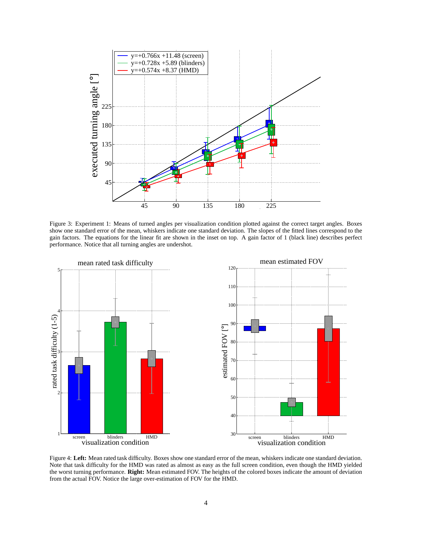

<span id="page-4-0"></span>Figure 3: Experiment 1: Means of turned angles per visualization condition plotted against the correct target angles. Boxes show one standard error of the mean, whiskers indicate one standard deviation. The slopes of the fitted lines correspond to the gain factors. The equations for the linear fit are shown in the inset on top. A gain factor of 1 (black line) describes perfect performance. Notice that all turning angles are undershot.



<span id="page-4-1"></span>Figure 4: **Left:** Mean rated task difficulty. Boxes show one standard error of the mean, whiskers indicate one standard deviation. Note that task difficulty for the HMD was rated as almost as easy as the full screen condition, even though the HMD yielded the worst turning performance. **Right:** Mean estimated FOV. The heights of the colored boxes indicate the amount of deviation from the actual FOV. Notice the large over-estimation of FOV for the HMD.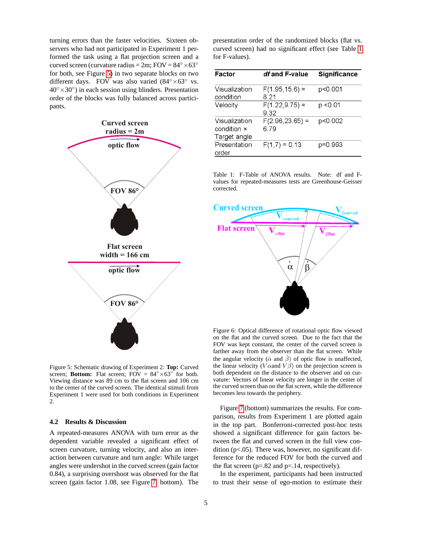turning errors than the faster velocities. Sixteen observers who had not participated in Experiment 1 performed the task using a flat projection screen and a curved screen (curvature radius =  $2m$ ; FOV =  $84^\circ \times 63^\circ$ for both, see Figure [5\)](#page-5-0) in two separate blocks on two different days. FOV was also varied  $(84° \times 63°)$  vs.  $40^\circ \times 30^\circ$ ) in each session using blinders. Presentation order of the blocks was fully balanced across participants.



<span id="page-5-0"></span>Figure 5: Schematic drawing of Experiment 2: **Top:** Curved screen; **Bottom:** Flat screen;  $\angle F\overrightarrow{O}V = 84^\circ \times 63^\circ$  for both. Viewing distance was 89 cm to the flat screen and 106 cm to the center of the curved screen. The identical stimuli from Experiment 1 were used for both conditions in Experiment 2.

#### **4.2 Results & Discussion**

A repeated-measures ANOVA with turn error as the dependent variable revealed a significant effect of screen curvature, turning velocity, and also an interaction between curvature and turn angle: While target angles were undershot in the curved screen (gain factor 0.84), a surprising overshoot was observed for the flat screen (gain factor 1.08, see Figure [7,](#page-6-0) bottom). The

presentation order of the randomized blocks (flat vs. curved screen) had no significant effect (see Table [1](#page-5-1) for F-values).

| Factor                                       | df and F-value             | <b>Significance</b> |
|----------------------------------------------|----------------------------|---------------------|
| Visualization<br>condition                   | $F(1.95, 15.6) =$<br>8.21  | p<0.001             |
| Velocity                                     | $F(1.22, 9.75) =$<br>9.32  | p <0.01             |
| Visualization<br>condition ×<br>Target angle | $F(2.96, 23.65) =$<br>6.79 | p<0.002             |
| Presentation<br>order                        | $F(1,7) = 0.13$            | p=0.993             |

<span id="page-5-1"></span>Table 1: F-Table of ANOVA results. Note: df and Fvalues for repeated-measures tests are Greenhouse-Geisser corrected.



<span id="page-5-2"></span>Figure 6: Optical difference of rotational optic flow viewed on the flat and the curved screen. Due to the fact that the FOV was kept constant, the center of the curved screen is farther away from the observer than the flat screen. While the angular velocity ( $\dot{\alpha}$  and  $\dot{\beta}$ ) of optic flow is unaffected, the linear velocity (V $\alpha$ and V $\beta$ ) on the projection screen is both dependent on the distance to the observer and on curvature: Vectors of linear velocity are longer in the center of the curved screen than on the flat screen, while the difference becomes less towards the periphery.

Figure [7](#page-6-0) (bottom) summarizes the results. For comparison, results from Experiment 1 are plotted again in the top part. Bonferroni-corrected post-hoc tests showed a significant difference for gain factors between the flat and curved screen in the full view condition ( $p$ <.05). There was, however, no significant difference for the reduced FOV for both the curved and the flat screen ( $p=.82$  and  $p=.14$ , respectively).

In the experiment, participants had been instructed to trust their sense of ego-motion to estimate their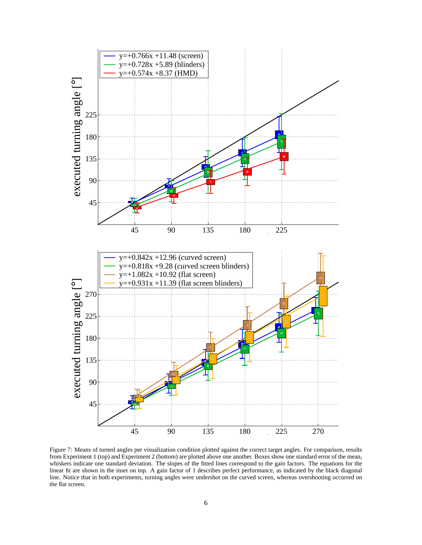

<span id="page-6-0"></span>Figure 7: Means of turned angles per visualization condition plotted against the correct target angles. For comparison, results from Experiment 1 (top) and Experiment 2 (bottom) are plotted above one another. Boxes show one standard error of the mean, whiskers indicate one standard deviation. The slopes of the fitted lines correspond to the gain factors. The equations for the linear fit are shown in the inset on top. A gain factor of 1 describes perfect performance, as indicated by the black diagonal line. Notice that in both experiments, turning angles were undershot on the curved screen, whereas overshooting occurred on the flat screen.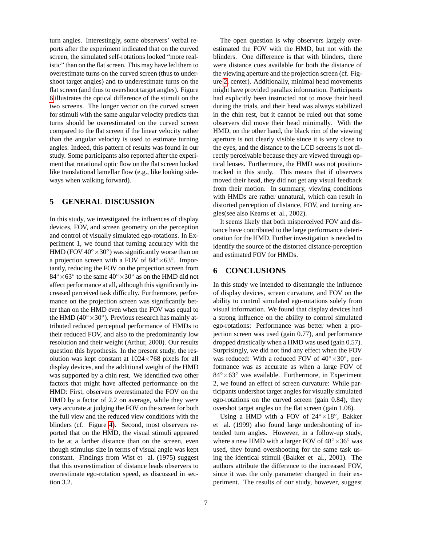turn angles. Interestingly, some observers' verbal reports after the experiment indicated that on the curved screen, the simulated self-rotations looked "more realistic" than on the flat screen. This may have led them to overestimate turns on the curved screen (thus to undershoot target angles) and to underestimate turns on the flat screen (and thus to overshoot target angles). Figure [6](#page-5-2) illustrates the optical difference of the stimuli on the two screens. The longer vector on the curved screen for stimuli with the same angular velocity predicts that turns should be overestimated on the curved screen compared to the flat screen if the linear velocity rather than the angular velocity is used to estimate turning angles. Indeed, this pattern of results was found in our study. Some participants also reported after the experiment that rotational optic flow on the flat screen looked like translational lamellar flow (e.g., like looking sideways when walking forward).

#### **5 GENERAL DISCUSSION**

In this study, we investigated the influences of display devices, FOV, and screen geometry on the perception and control of visually simulated ego-rotations. In Experiment 1, we found that turning accuracy with the HMD (FOV  $40^{\circ} \times 30^{\circ}$ ) was significantly worse than on a projection screen with a FOV of  $84^\circ \times 63^\circ$ . Importantly, reducing the FOV on the projection screen from  $84^\circ \times 63^\circ$  to the same  $40^\circ \times 30^\circ$  as on the HMD did not affect performance at all, although this significantly increased perceived task difficulty. Furthermore, performance on the projection screen was significantly better than on the HMD even when the FOV was equal to the HMD ( $40^{\circ} \times 30^{\circ}$ ). Previous research has mainly attributed reduced perceptual performance of HMDs to their reduced FOV, and also to the predominantly low resolution and their weight (Arthur, 2000). Our results question this hypothesis. In the present study, the resolution was kept constant at  $1024\times768$  pixels for all display devices, and the additional weight of the HMD was supported by a chin rest. We identified two other factors that might have affected performance on the HMD: First, observers overestimated the FOV on the HMD by a factor of 2.2 on average, while they were very accurate at judging the FOV on the screen for both the full view and the reduced view conditions with the blinders (cf. Figure [4\)](#page-4-1). Second, most observers reported that on the HMD, the visual stimuli appeared to be at a farther distance than on the screen, even though stimulus size in terms of visual angle was kept constant. Findings from Wist et al. (1975) suggest that this overestimation of distance leads observers to overestimate ego-rotation speed, as discussed in section 3.2.

The open question is why observers largely overestimated the FOV with the HMD, but not with the blinders. One difference is that with blinders, there were distance cues available for both the distance of the viewing aperture and the projection screen (cf. Figure [2,](#page-3-0) center). Additionally, minimal head movements might have provided parallax information. Participants had explicitly been instructed not to move their head during the trials, and their head was always stabilized in the chin rest, but it cannot be ruled out that some observers did move their head minimally. With the HMD, on the other hand, the black rim of the viewing aperture is not clearly visible since it is very close to the eyes, and the distance to the LCD screens is not directly perceivable because they are viewed through optical lenses. Furthermore, the HMD was not positiontracked in this study. This means that if observers moved their head, they did not get any visual feedback from their motion. In summary, viewing conditions with HMDs are rather unnatural, which can result in distorted perception of distance, FOV, and turning angles(see also Kearns et al., 2002).

It seems likely that both misperceived FOV and distance have contributed to the large performance deterioration for the HMD. Further investigation is needed to identify the source of the distorted distance-perception and estimated FOV for HMDs.

## **6 CONCLUSIONS**

In this study we intended to disentangle the influence of display devices, screen curvature, and FOV on the ability to control simulated ego-rotations solely from visual information. We found that display devices had a strong influence on the ability to control simulated ego-rotations: Performance was better when a projection screen was used (gain 0.77), and performance dropped drastically when a HMD was used (gain 0.57). Surprisingly, we did not find any effect when the FOV was reduced: With a reduced FOV of  $40^{\circ} \times 30^{\circ}$ , performance was as accurate as when a large FOV of 84◦×63◦ was available. Furthermore, in Experiment 2, we found an effect of screen curvature: While participants undershot target angles for visually simulated ego-rotations on the curved screen (gain 0.84), they overshot target angles on the flat screen (gain 1.08).

Using a HMD with a FOV of  $24^\circ \times 18^\circ$ , Bakker et al. (1999) also found large undershooting of intended turn angles. However, in a follow-up study, where a new HMD with a larger FOV of  $48° \times 36°$  was used, they found overshooting for the same task using the identical stimuli (Bakker et al., 2001). The authors attribute the difference to the increased FOV, since it was the only parameter changed in their experiment. The results of our study, however, suggest